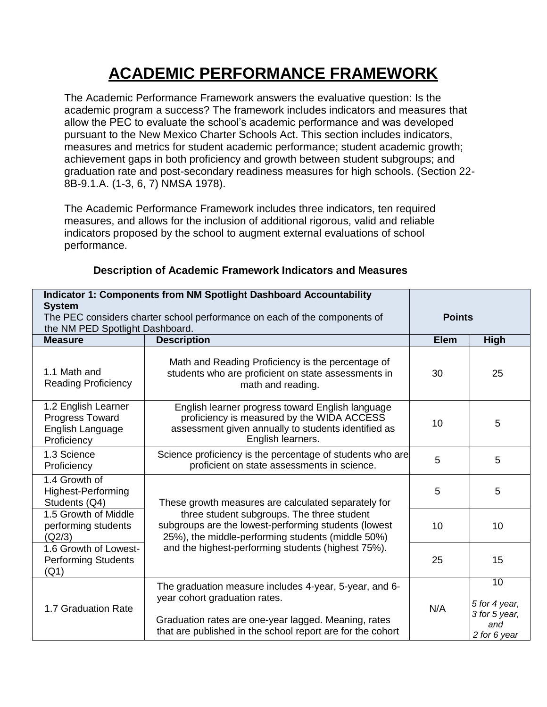## **ACADEMIC PERFORMANCE FRAMEWORK**

The Academic Performance Framework answers the evaluative question: Is the academic program a success? The framework includes indicators and measures that allow the PEC to evaluate the school's academic performance and was developed pursuant to the New Mexico Charter Schools Act. This section includes indicators, measures and metrics for student academic performance; student academic growth; achievement gaps in both proficiency and growth between student subgroups; and graduation rate and post-secondary readiness measures for high schools. (Section 22- 8B-9.1.A. (1-3, 6, 7) NMSA 1978).

The Academic Performance Framework includes three indicators, ten required measures, and allows for the inclusion of additional rigorous, valid and reliable indicators proposed by the school to augment external evaluations of school performance.

|                                                                                            | <b>Indicator 1: Components from NM Spotlight Dashboard Accountability</b>                                                                                                                                     |             |                                                             |  |
|--------------------------------------------------------------------------------------------|---------------------------------------------------------------------------------------------------------------------------------------------------------------------------------------------------------------|-------------|-------------------------------------------------------------|--|
| <b>System</b><br>The PEC considers charter school performance on each of the components of |                                                                                                                                                                                                               |             | <b>Points</b>                                               |  |
| the NM PED Spotlight Dashboard.                                                            |                                                                                                                                                                                                               |             |                                                             |  |
| <b>Measure</b>                                                                             | <b>Description</b>                                                                                                                                                                                            | <b>Elem</b> | <b>High</b>                                                 |  |
| 1.1 Math and<br><b>Reading Proficiency</b>                                                 | Math and Reading Proficiency is the percentage of<br>students who are proficient on state assessments in<br>math and reading.                                                                                 | 30          | 25                                                          |  |
| 1.2 English Learner<br><b>Progress Toward</b><br>English Language<br>Proficiency           | English learner progress toward English language<br>proficiency is measured by the WIDA ACCESS<br>assessment given annually to students identified as<br>English learners.                                    | 10          | 5                                                           |  |
| 1.3 Science<br>Proficiency                                                                 | Science proficiency is the percentage of students who are<br>proficient on state assessments in science.                                                                                                      | 5           | 5                                                           |  |
| 1.4 Growth of<br><b>Highest-Performing</b><br>Students (Q4)                                | These growth measures are calculated separately for                                                                                                                                                           | 5           | 5                                                           |  |
| 1.5 Growth of Middle<br>performing students<br>(Q2/3)                                      | three student subgroups. The three student<br>subgroups are the lowest-performing students (lowest<br>25%), the middle-performing students (middle 50%)                                                       | 10          | 10                                                          |  |
| 1.6 Growth of Lowest-<br><b>Performing Students</b><br>(Q1)                                | and the highest-performing students (highest 75%).                                                                                                                                                            | 25          | 15                                                          |  |
| 1.7 Graduation Rate                                                                        | The graduation measure includes 4-year, 5-year, and 6-<br>year cohort graduation rates.<br>Graduation rates are one-year lagged. Meaning, rates<br>that are published in the school report are for the cohort | N/A         | 10<br>5 for 4 year,<br>3 for 5 year,<br>and<br>2 for 6 year |  |

## **Description of Academic Framework Indicators and Measures**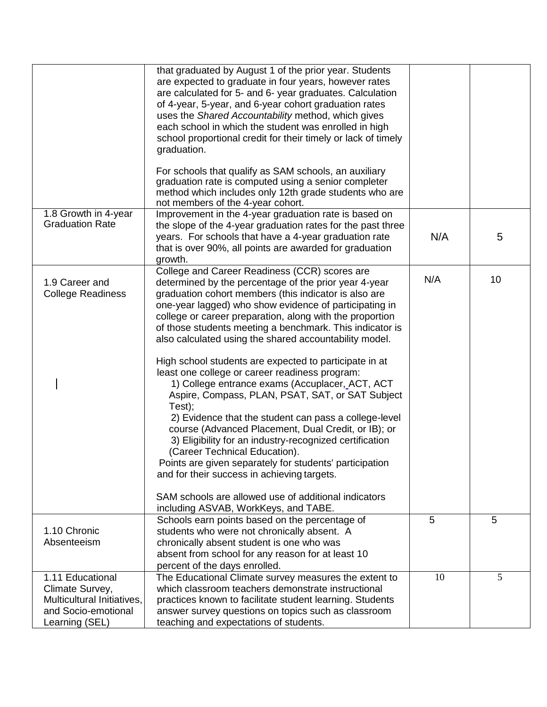|                                                                                                            | that graduated by August 1 of the prior year. Students<br>are expected to graduate in four years, however rates<br>are calculated for 5- and 6- year graduates. Calculation<br>of 4-year, 5-year, and 6-year cohort graduation rates<br>uses the Shared Accountability method, which gives<br>each school in which the student was enrolled in high<br>school proportional credit for their timely or lack of timely<br>graduation.<br>For schools that qualify as SAM schools, an auxiliary<br>graduation rate is computed using a senior completer<br>method which includes only 12th grade students who are<br>not members of the 4-year cohort.                                                                                                                                                                                                                                                                                                                                                                                                            |     |    |
|------------------------------------------------------------------------------------------------------------|----------------------------------------------------------------------------------------------------------------------------------------------------------------------------------------------------------------------------------------------------------------------------------------------------------------------------------------------------------------------------------------------------------------------------------------------------------------------------------------------------------------------------------------------------------------------------------------------------------------------------------------------------------------------------------------------------------------------------------------------------------------------------------------------------------------------------------------------------------------------------------------------------------------------------------------------------------------------------------------------------------------------------------------------------------------|-----|----|
| 1.8 Growth in 4-year<br><b>Graduation Rate</b>                                                             | Improvement in the 4-year graduation rate is based on<br>the slope of the 4-year graduation rates for the past three<br>years. For schools that have a 4-year graduation rate<br>that is over 90%, all points are awarded for graduation<br>growth.                                                                                                                                                                                                                                                                                                                                                                                                                                                                                                                                                                                                                                                                                                                                                                                                            | N/A | 5  |
| 1.9 Career and<br><b>College Readiness</b>                                                                 | College and Career Readiness (CCR) scores are<br>determined by the percentage of the prior year 4-year<br>graduation cohort members (this indicator is also are<br>one-year lagged) who show evidence of participating in<br>college or career preparation, along with the proportion<br>of those students meeting a benchmark. This indicator is<br>also calculated using the shared accountability model.<br>High school students are expected to participate in at<br>least one college or career readiness program:<br>1) College entrance exams (Accuplacer, ACT, ACT<br>Aspire, Compass, PLAN, PSAT, SAT, or SAT Subject<br>Test);<br>2) Evidence that the student can pass a college-level<br>course (Advanced Placement, Dual Credit, or IB); or<br>3) Eligibility for an industry-recognized certification<br>(Career Technical Education).<br>Points are given separately for students' participation<br>and for their success in achieving targets.<br>SAM schools are allowed use of additional indicators<br>including ASVAB, WorkKeys, and TABE. | N/A | 10 |
| 1.10 Chronic<br>Absenteeism                                                                                | Schools earn points based on the percentage of<br>students who were not chronically absent. A<br>chronically absent student is one who was<br>absent from school for any reason for at least 10<br>percent of the days enrolled.                                                                                                                                                                                                                                                                                                                                                                                                                                                                                                                                                                                                                                                                                                                                                                                                                               | 5   | 5  |
| 1.11 Educational<br>Climate Survey,<br>Multicultural Initiatives,<br>and Socio-emotional<br>Learning (SEL) | The Educational Climate survey measures the extent to<br>which classroom teachers demonstrate instructional<br>practices known to facilitate student learning. Students<br>answer survey questions on topics such as classroom<br>teaching and expectations of students.                                                                                                                                                                                                                                                                                                                                                                                                                                                                                                                                                                                                                                                                                                                                                                                       | 10  | 5  |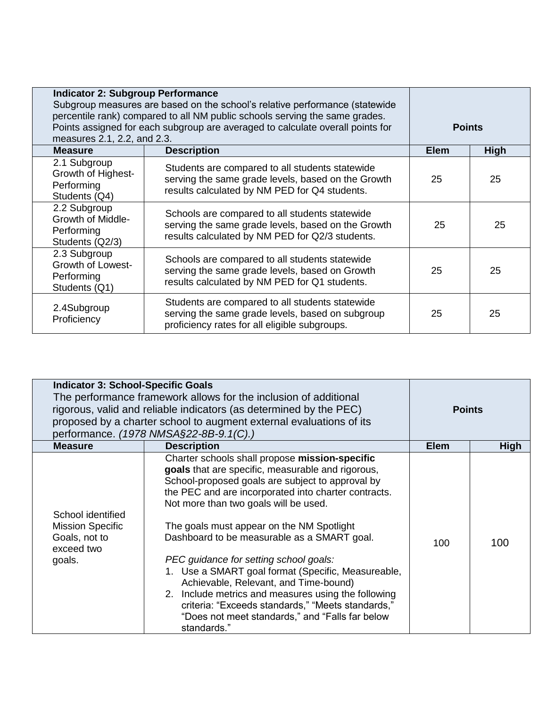| <b>Indicator 2: Subgroup Performance</b><br>Subgroup measures are based on the school's relative performance (statewide<br>percentile rank) compared to all NM public schools serving the same grades.<br>Points assigned for each subgroup are averaged to calculate overall points for<br>measures 2.1, 2.2, and 2.3. |                                                                                                                                                         |             | <b>Points</b> |  |
|-------------------------------------------------------------------------------------------------------------------------------------------------------------------------------------------------------------------------------------------------------------------------------------------------------------------------|---------------------------------------------------------------------------------------------------------------------------------------------------------|-------------|---------------|--|
| <b>Measure</b>                                                                                                                                                                                                                                                                                                          | <b>Description</b>                                                                                                                                      | <b>Elem</b> | High          |  |
| 2.1 Subgroup<br>Growth of Highest-<br>Performing<br>Students (Q4)                                                                                                                                                                                                                                                       | Students are compared to all students statewide<br>serving the same grade levels, based on the Growth<br>results calculated by NM PED for Q4 students.  | 25          | 25            |  |
| 2.2 Subgroup<br><b>Growth of Middle-</b><br>Performing<br>Students (Q2/3)                                                                                                                                                                                                                                               | Schools are compared to all students statewide<br>serving the same grade levels, based on the Growth<br>results calculated by NM PED for Q2/3 students. | 25          | 25            |  |
| 2.3 Subgroup<br>Growth of Lowest-<br>Performing<br>Students (Q1)                                                                                                                                                                                                                                                        | Schools are compared to all students statewide<br>serving the same grade levels, based on Growth<br>results calculated by NM PED for Q1 students.       | 25          | 25            |  |
| 2.4Subgroup<br>Proficiency                                                                                                                                                                                                                                                                                              | Students are compared to all students statewide<br>serving the same grade levels, based on subgroup<br>proficiency rates for all eligible subgroups.    | 25          | 25            |  |

| <b>Indicator 3: School-Specific Goals</b><br>The performance framework allows for the inclusion of additional<br>rigorous, valid and reliable indicators (as determined by the PEC)<br>proposed by a charter school to augment external evaluations of its<br>performance. (1978 NMSA§22-8B-9.1(C).) |                                                                                                                                                                                                                                                                                                                                                                                                                                                                                                                                                                                                                                                                             | <b>Points</b> |             |
|------------------------------------------------------------------------------------------------------------------------------------------------------------------------------------------------------------------------------------------------------------------------------------------------------|-----------------------------------------------------------------------------------------------------------------------------------------------------------------------------------------------------------------------------------------------------------------------------------------------------------------------------------------------------------------------------------------------------------------------------------------------------------------------------------------------------------------------------------------------------------------------------------------------------------------------------------------------------------------------------|---------------|-------------|
| <b>Measure</b>                                                                                                                                                                                                                                                                                       | <b>Description</b>                                                                                                                                                                                                                                                                                                                                                                                                                                                                                                                                                                                                                                                          | <b>Elem</b>   | <b>High</b> |
| School identified<br><b>Mission Specific</b><br>Goals, not to<br>exceed two<br>goals.                                                                                                                                                                                                                | Charter schools shall propose mission-specific<br>goals that are specific, measurable and rigorous,<br>School-proposed goals are subject to approval by<br>the PEC and are incorporated into charter contracts.<br>Not more than two goals will be used.<br>The goals must appear on the NM Spotlight<br>Dashboard to be measurable as a SMART goal.<br>PEC guidance for setting school goals:<br>1. Use a SMART goal format (Specific, Measureable,<br>Achievable, Relevant, and Time-bound)<br>2. Include metrics and measures using the following<br>criteria: "Exceeds standards," "Meets standards,"<br>"Does not meet standards," and "Falls far below<br>standards." | 100           | 100         |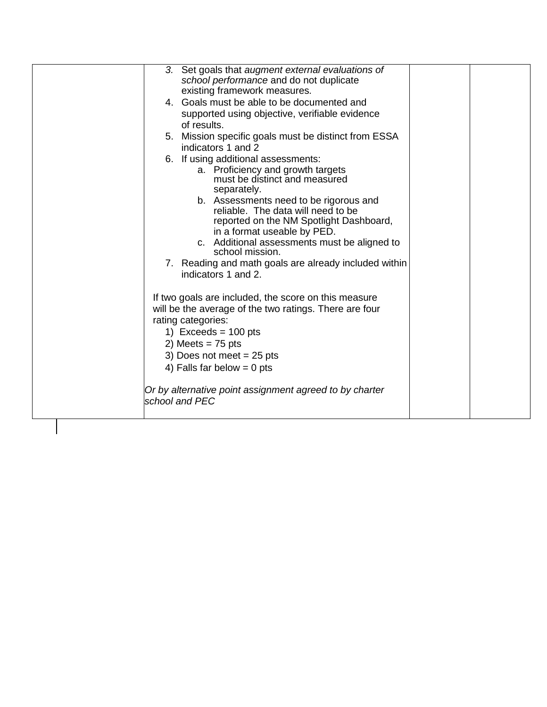| 3. Set goals that augment external evaluations of<br>school performance and do not duplicate<br>existing framework measures.<br>4. Goals must be able to be documented and                                                                                                                                                                                                                                                                                                                                                                                                                                                                                                                                                                                                                       |
|--------------------------------------------------------------------------------------------------------------------------------------------------------------------------------------------------------------------------------------------------------------------------------------------------------------------------------------------------------------------------------------------------------------------------------------------------------------------------------------------------------------------------------------------------------------------------------------------------------------------------------------------------------------------------------------------------------------------------------------------------------------------------------------------------|
| supported using objective, verifiable evidence<br>of results.                                                                                                                                                                                                                                                                                                                                                                                                                                                                                                                                                                                                                                                                                                                                    |
| 5. Mission specific goals must be distinct from ESSA                                                                                                                                                                                                                                                                                                                                                                                                                                                                                                                                                                                                                                                                                                                                             |
| indicators 1 and 2<br>6. If using additional assessments:<br>a. Proficiency and growth targets<br>must be distinct and measured<br>separately.<br>b. Assessments need to be rigorous and<br>reliable. The data will need to be<br>reported on the NM Spotlight Dashboard,<br>in a format useable by PED.<br>c. Additional assessments must be aligned to<br>school mission.<br>7. Reading and math goals are already included within<br>indicators 1 and 2.<br>If two goals are included, the score on this measure<br>will be the average of the two ratings. There are four<br>rating categories:<br>1) Exceeds = $100$ pts<br>2) Meets = $75$ pts<br>3) Does not meet $= 25$ pts<br>4) Falls far below = $0$ pts<br>Or by alternative point assignment agreed to by charter<br>school and PEC |
|                                                                                                                                                                                                                                                                                                                                                                                                                                                                                                                                                                                                                                                                                                                                                                                                  |
|                                                                                                                                                                                                                                                                                                                                                                                                                                                                                                                                                                                                                                                                                                                                                                                                  |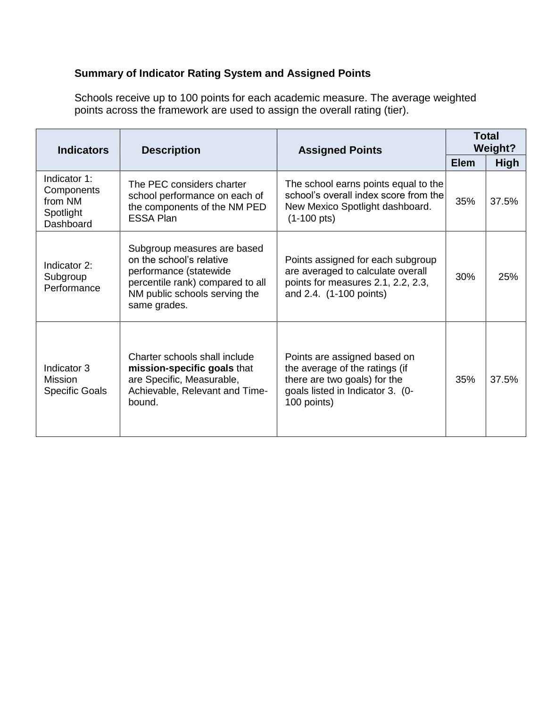## **Summary of Indicator Rating System and Assigned Points**

Schools receive up to 100 points for each academic measure. The average weighted points across the framework are used to assign the overall rating (tier).

| <b>Indicators</b>                                               | <b>Description</b>                                                                                                                                                     | <b>Assigned Points</b>                                                                                                                            | <b>Total</b><br><b>Weight?</b> |             |
|-----------------------------------------------------------------|------------------------------------------------------------------------------------------------------------------------------------------------------------------------|---------------------------------------------------------------------------------------------------------------------------------------------------|--------------------------------|-------------|
|                                                                 |                                                                                                                                                                        |                                                                                                                                                   | <b>Elem</b>                    | <b>High</b> |
| Indicator 1:<br>Components<br>from NM<br>Spotlight<br>Dashboard | The PEC considers charter<br>school performance on each of<br>the components of the NM PED<br><b>ESSA Plan</b>                                                         | The school earns points equal to the<br>school's overall index score from the<br>New Mexico Spotlight dashboard.<br>$(1-100 \text{ pts})$         | 35%                            | 37.5%       |
| Indicator 2:<br>Subgroup<br>Performance                         | Subgroup measures are based<br>on the school's relative<br>performance (statewide<br>percentile rank) compared to all<br>NM public schools serving the<br>same grades. | Points assigned for each subgroup<br>are averaged to calculate overall<br>points for measures 2.1, 2.2, 2.3,<br>and 2.4. (1-100 points)           | 30%                            | 25%         |
| Indicator 3<br><b>Mission</b><br><b>Specific Goals</b>          | Charter schools shall include<br>mission-specific goals that<br>are Specific, Measurable,<br>Achievable, Relevant and Time-<br>bound.                                  | Points are assigned based on<br>the average of the ratings (if<br>there are two goals) for the<br>goals listed in Indicator 3. (0-<br>100 points) | 35%                            | 37.5%       |